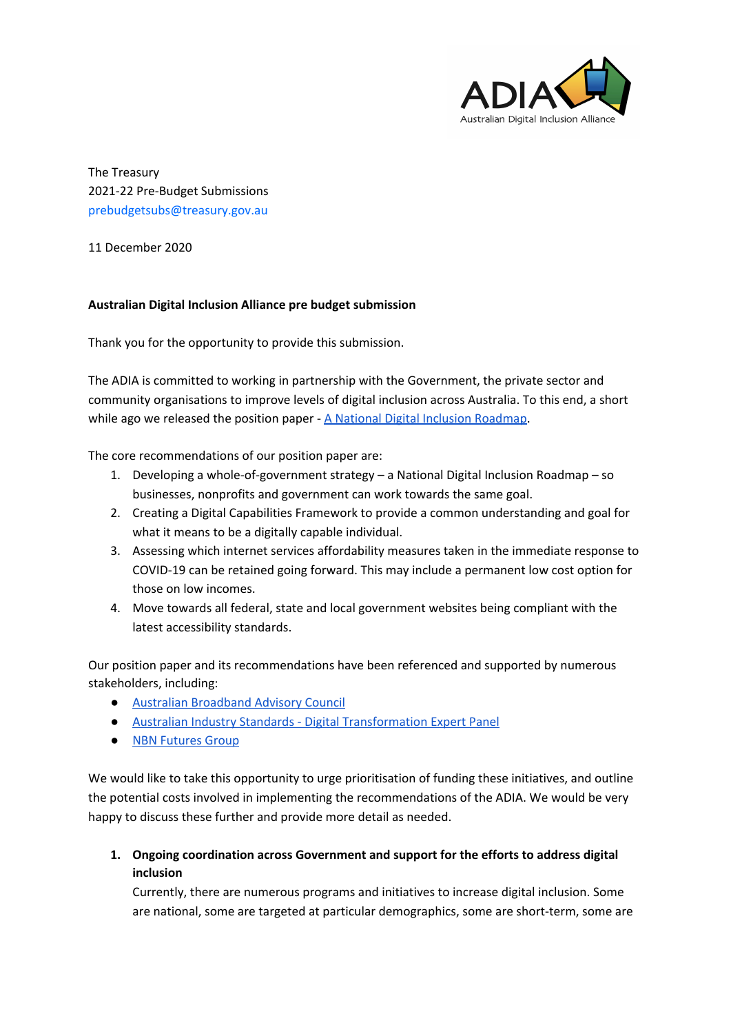

The Treasury 2021-22 Pre-Budget Submissions prebudgetsubs@treasury.gov.au

11 December 2020

## **Australian Digital Inclusion Alliance pre budget submission**

Thank you for the opportunity to provide this submission.

The ADIA is committed to working in partnership with the Government, the private sector and community organisations to improve levels of digital inclusion across Australia. To this end, a short while ago we released the position paper - A National Digital Inclusion [Roadmap.](https://www.digitalinclusion.org.au/a-national-digital-inclusion-roadmap)

The core recommendations of our position paper are:

- 1. Developing a whole-of-government strategy a National Digital Inclusion Roadmap so businesses, nonprofits and government can work towards the same goal.
- 2. Creating a Digital Capabilities Framework to provide a common understanding and goal for what it means to be a digitally capable individual.
- 3. Assessing which internet services affordability measures taken in the immediate response to COVID-19 can be retained going forward. This may include a permanent low cost option for those on low incomes.
- 4. Move towards all federal, state and local government websites being compliant with the latest accessibility standards.

Our position paper and its recommendations have been referenced and supported by numerous stakeholders, including:

- Australian [Broadband](https://www.communications.gov.au/documents/riding-digital-wave-report-covid-19-trends-and-forward-work-program) Advisory Council
- Australian Industry Standards Digital [Transformation](https://twitter.com/AusIndStds/status/1318731829629779975) Expert Panel
- **NBN [Futures](https://telsoc.org/sites/default/files/blog_pdf/towards_a_national_broadband_strategy_2020_-_2030_24nov2020.pdf) Group**

We would like to take this opportunity to urge prioritisation of funding these initiatives, and outline the potential costs involved in implementing the recommendations of the ADIA. We would be very happy to discuss these further and provide more detail as needed.

**1. Ongoing coordination across Government and support for the efforts to address digital inclusion**

Currently, there are numerous programs and initiatives to increase digital inclusion. Some are national, some are targeted at particular demographics, some are short-term, some are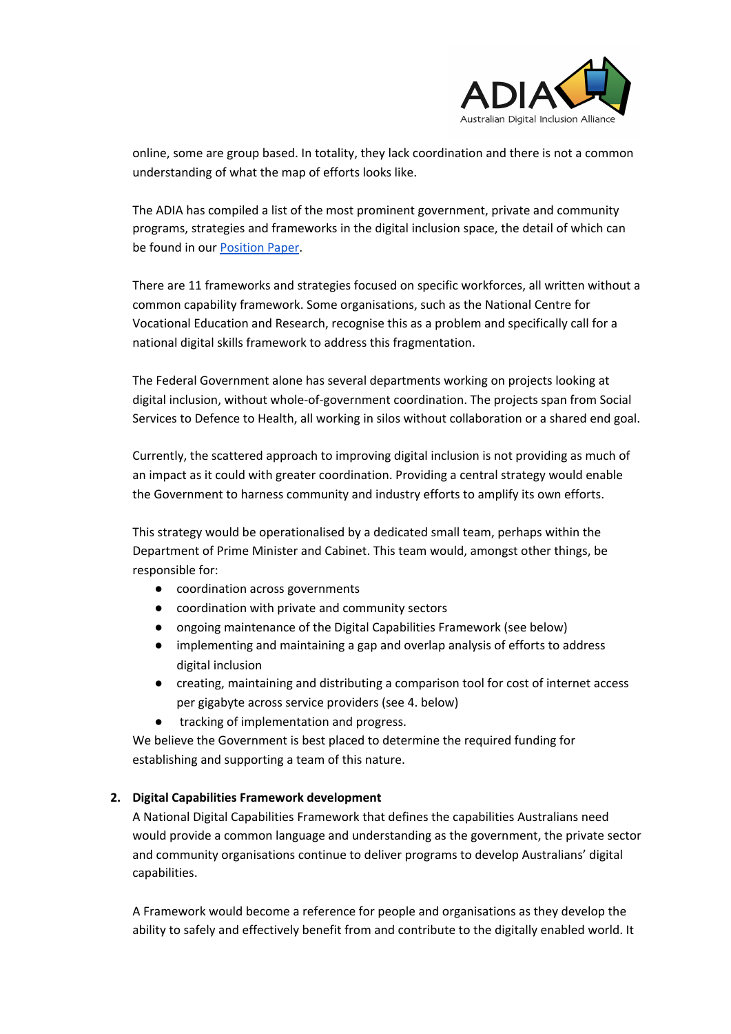

online, some are group based. In totality, they lack coordination and there is not a common understanding of what the map of efforts looks like.

The ADIA has compiled a list of the most prominent government, private and community programs, strategies and frameworks in the digital inclusion space, the detail of which can be found in our [Position](https://www.digitalinclusion.org.au/wp-content/uploads/2020/10/ADIA-A-National-Digital-Inclusion-Roadmap.pdf) Paper.

There are 11 frameworks and strategies focused on specific workforces, all written without a common capability framework. Some organisations, such as the National Centre for Vocational Education and Research, recognise this as a problem and specifically call for a national digital skills framework to address this fragmentation.

The Federal Government alone has several departments working on projects looking at digital inclusion, without whole-of-government coordination. The projects span from Social Services to Defence to Health, all working in silos without collaboration or a shared end goal.

Currently, the scattered approach to improving digital inclusion is not providing as much of an impact as it could with greater coordination. Providing a central strategy would enable the Government to harness community and industry efforts to amplify its own efforts.

This strategy would be operationalised by a dedicated small team, perhaps within the Department of Prime Minister and Cabinet. This team would, amongst other things, be responsible for:

- coordination across governments
- coordination with private and community sectors
- ongoing maintenance of the Digital Capabilities Framework (see below)
- implementing and maintaining a gap and overlap analysis of efforts to address digital inclusion
- creating, maintaining and distributing a comparison tool for cost of internet access per gigabyte across service providers (see 4. below)
- tracking of implementation and progress.

We believe the Government is best placed to determine the required funding for establishing and supporting a team of this nature.

## **2. Digital Capabilities Framework development**

A National Digital Capabilities Framework that defines the capabilities Australians need would provide a common language and understanding as the government, the private sector and community organisations continue to deliver programs to develop Australians' digital capabilities.

A Framework would become a reference for people and organisations as they develop the ability to safely and effectively benefit from and contribute to the digitally enabled world. It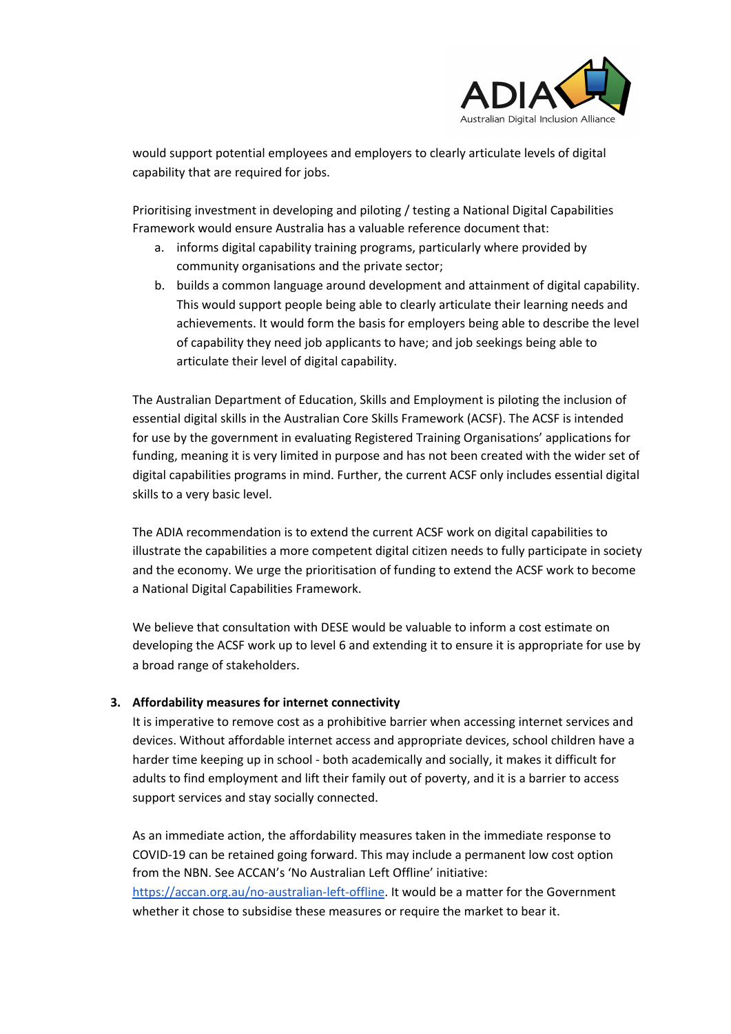

would support potential employees and employers to clearly articulate levels of digital capability that are required for jobs.

Prioritising investment in developing and piloting / testing a National Digital Capabilities Framework would ensure Australia has a valuable reference document that:

- a. informs digital capability training programs, particularly where provided by community organisations and the private sector;
- b. builds a common language around development and attainment of digital capability. This would support people being able to clearly articulate their learning needs and achievements. It would form the basis for employers being able to describe the level of capability they need job applicants to have; and job seekings being able to articulate their level of digital capability.

The Australian Department of Education, Skills and Employment is piloting the inclusion of essential digital skills in the Australian Core Skills Framework (ACSF). The ACSF is intended for use by the government in evaluating Registered Training Organisations' applications for funding, meaning it is very limited in purpose and has not been created with the wider set of digital capabilities programs in mind. Further, the current ACSF only includes essential digital skills to a very basic level.

The ADIA recommendation is to extend the current ACSF work on digital capabilities to illustrate the capabilities a more competent digital citizen needs to fully participate in society and the economy. We urge the prioritisation of funding to extend the ACSF work to become a National Digital Capabilities Framework.

We believe that consultation with DESE would be valuable to inform a cost estimate on developing the ACSF work up to level 6 and extending it to ensure it is appropriate for use by a broad range of stakeholders.

## **3. Affordability measures for internet connectivity**

It is imperative to remove cost as a prohibitive barrier when accessing internet services and devices. Without affordable internet access and appropriate devices, school children have a harder time keeping up in school - both academically and socially, it makes it difficult for adults to find employment and lift their family out of poverty, and it is a barrier to access support services and stay socially connected.

As an immediate action, the affordability measures taken in the immediate response to COVID-19 can be retained going forward. This may include a permanent low cost option from the NBN. See ACCAN's 'No Australian Left Offline' initiative: [https://accan.org.au/no-australian-left-offline.](https://accan.org.au/no-australian-left-offline) It would be a matter for the Government whether it chose to subsidise these measures or require the market to bear it.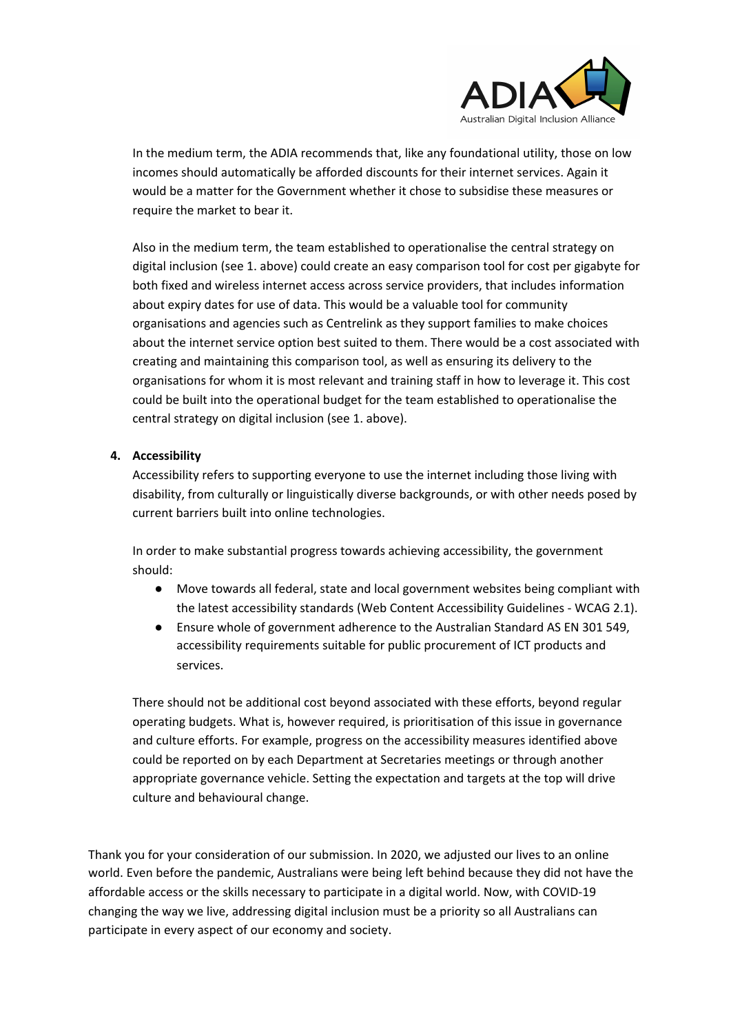

In the medium term, the ADIA recommends that, like any foundational utility, those on low incomes should automatically be afforded discounts for their internet services. Again it would be a matter for the Government whether it chose to subsidise these measures or require the market to bear it.

Also in the medium term, the team established to operationalise the central strategy on digital inclusion (see 1. above) could create an easy comparison tool for cost per gigabyte for both fixed and wireless internet access across service providers, that includes information about expiry dates for use of data. This would be a valuable tool for community organisations and agencies such as Centrelink as they support families to make choices about the internet service option best suited to them. There would be a cost associated with creating and maintaining this comparison tool, as well as ensuring its delivery to the organisations for whom it is most relevant and training staff in how to leverage it. This cost could be built into the operational budget for the team established to operationalise the central strategy on digital inclusion (see 1. above).

## **4. Accessibility**

Accessibility refers to supporting everyone to use the internet including those living with disability, from culturally or linguistically diverse backgrounds, or with other needs posed by current barriers built into online technologies.

In order to make substantial progress towards achieving accessibility, the government should:

- Move towards all federal, state and local government websites being compliant with the latest accessibility standards (Web Content Accessibility Guidelines - WCAG 2.1).
- Ensure whole of government adherence to the Australian Standard AS EN 301 549, accessibility requirements suitable for public procurement of ICT products and services.

There should not be additional cost beyond associated with these efforts, beyond regular operating budgets. What is, however required, is prioritisation of this issue in governance and culture efforts. For example, progress on the accessibility measures identified above could be reported on by each Department at Secretaries meetings or through another appropriate governance vehicle. Setting the expectation and targets at the top will drive culture and behavioural change.

Thank you for your consideration of our submission. In 2020, we adjusted our lives to an online world. Even before the pandemic, Australians were being left behind because they did not have the affordable access or the skills necessary to participate in a digital world. Now, with COVID-19 changing the way we live, addressing digital inclusion must be a priority so all Australians can participate in every aspect of our economy and society.